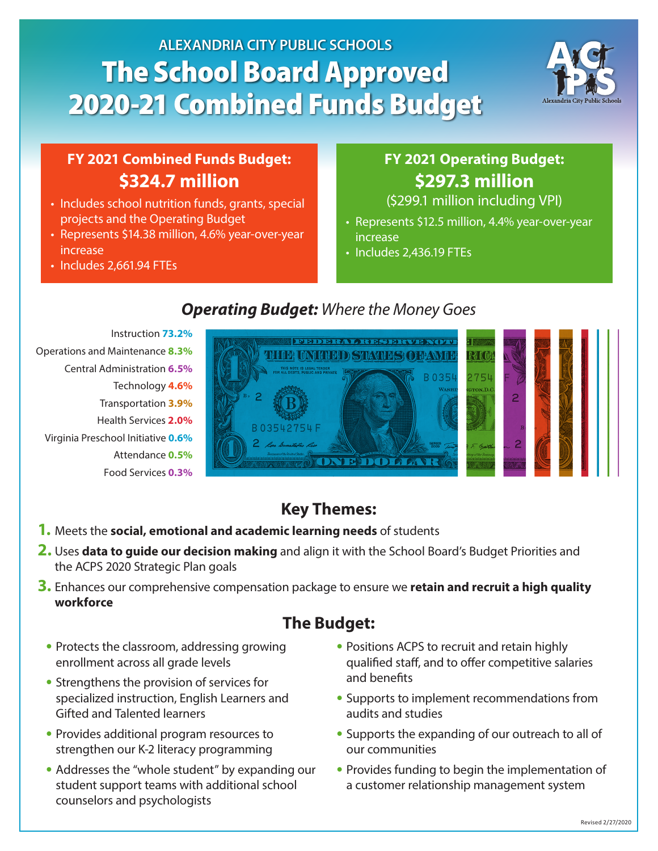# **ALEXANDRIA CITY PUBLIC SCHOOLS** The School Board Approved 2020-21 Combined Funds Budget



#### **FY 2021 Combined Funds Budget: \$324.7 million**

- Includes school nutrition funds, grants, special projects and the Operating Budget
- Represents \$14.38 million, 4.6% year-over-year increase
- Includes 2,661.94 FTEs

# **FY 2021 Operating Budget: \$297.3 million**

(\$299.1 million including VPI)

- Represents \$12.5 million, 4.4% year-over-year increase
- Includes 2,436.19 FTEs

Instruction **73.2%** Central Administration **6.5%** Transportation **3.9%** Operations and Maintenance **8.3%** Attendance **0.5%** Food Services **0.3%** Technology **4.6%** Virginia Preschool Initiative **0.6%** Health Services **2.0%**

#### *Operating Budget: Where the Money Goes* **FY 2021 Proposed Operating Budget** *Where the Money Goes*



# **Key Themes:**

- **1.** Meets the **social, emotional and academic learning needs** of students
- 2. Uses data to guide our decision making and align it with the School Board's Budget Priorities and the ACPS 2020 Strategic Plan goals **Health Services 2.0%**
- **3.** Enhances our comprehensive compensation package to ensure we **retain and recruit a high quality workforce**

# **The Budget:**

- **•** Protects the classroom, addressing growing enrollment across all grade levels
- **•** Strengthens the provision of services for specialized instruction, English Learners and Gifted and Talented learners
- **•** Provides additional program resources to strengthen our K-2 literacy programming
- **•** Addresses the "whole student" by expanding our student support teams with additional school counselors and psychologists
- **•** Positions ACPS to recruit and retain highly qualified staff, and to offer competitive salaries and benefits
- **•** Supports to implement recommendations from audits and studies
- **•** Supports the expanding of our outreach to all of our communities
- **•** Provides funding to begin the implementation of a customer relationship management system